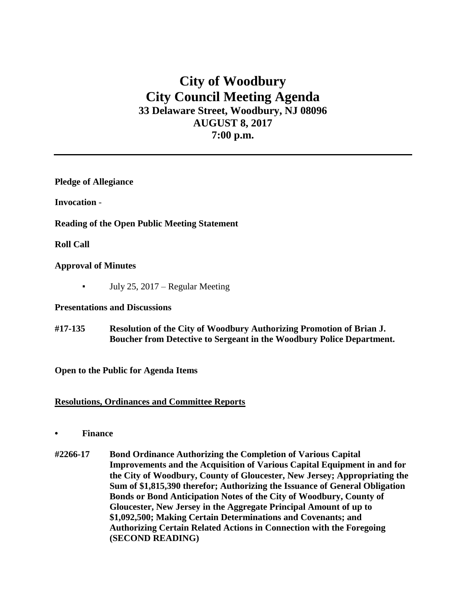# **City of Woodbury City Council Meeting Agenda 33 Delaware Street, Woodbury, NJ 08096 AUGUST 8, 2017 7:00 p.m.**

**Pledge of Allegiance**

**Invocation** -

**Reading of the Open Public Meeting Statement**

**Roll Call**

# **Approval of Minutes**

▪ July 25, 2017 – Regular Meeting

## **Presentations and Discussions**

**#17-135 Resolution of the City of Woodbury Authorizing Promotion of Brian J. Boucher from Detective to Sergeant in the Woodbury Police Department.**

**Open to the Public for Agenda Items**

## **Resolutions, Ordinances and Committee Reports**

- **• Finance**
- **#2266-17 Bond Ordinance Authorizing the Completion of Various Capital Improvements and the Acquisition of Various Capital Equipment in and for the City of Woodbury, County of Gloucester, New Jersey; Appropriating the Sum of \$1,815,390 therefor; Authorizing the Issuance of General Obligation Bonds or Bond Anticipation Notes of the City of Woodbury, County of Gloucester, New Jersey in the Aggregate Principal Amount of up to \$1,092,500; Making Certain Determinations and Covenants; and Authorizing Certain Related Actions in Connection with the Foregoing (SECOND READING)**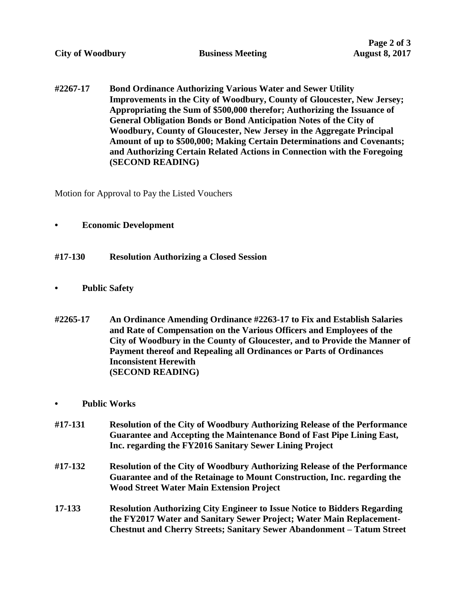# **City of Woodbury Business Meeting <b>August 8, 2017**

**#2267-17 Bond Ordinance Authorizing Various Water and Sewer Utility Improvements in the City of Woodbury, County of Gloucester, New Jersey; Appropriating the Sum of \$500,000 therefor; Authorizing the Issuance of General Obligation Bonds or Bond Anticipation Notes of the City of Woodbury, County of Gloucester, New Jersey in the Aggregate Principal Amount of up to \$500,000; Making Certain Determinations and Covenants; and Authorizing Certain Related Actions in Connection with the Foregoing (SECOND READING)**

Motion for Approval to Pay the Listed Vouchers

- **• Economic Development**
- **#17-130 Resolution Authorizing a Closed Session**
- **• Public Safety**
- **#2265-17 An Ordinance Amending Ordinance #2263-17 to Fix and Establish Salaries and Rate of Compensation on the Various Officers and Employees of the City of Woodbury in the County of Gloucester, and to Provide the Manner of Payment thereof and Repealing all Ordinances or Parts of Ordinances Inconsistent Herewith (SECOND READING)**
- **• Public Works**
- **#17-131 Resolution of the City of Woodbury Authorizing Release of the Performance Guarantee and Accepting the Maintenance Bond of Fast Pipe Lining East, Inc. regarding the FY2016 Sanitary Sewer Lining Project**
- **#17-132 Resolution of the City of Woodbury Authorizing Release of the Performance Guarantee and of the Retainage to Mount Construction, Inc. regarding the Wood Street Water Main Extension Project**
- **17-133 Resolution Authorizing City Engineer to Issue Notice to Bidders Regarding the FY2017 Water and Sanitary Sewer Project; Water Main Replacement-Chestnut and Cherry Streets; Sanitary Sewer Abandonment – Tatum Street**